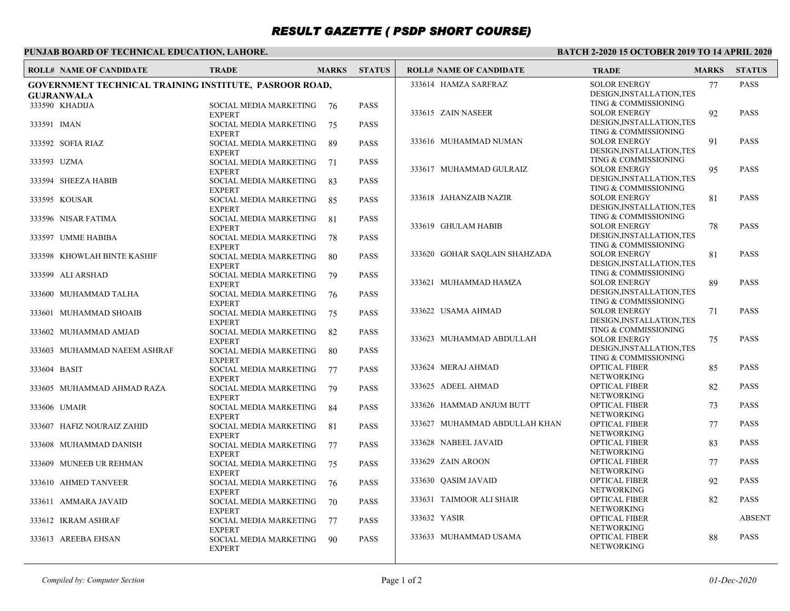# *RESULT GAZETTE ( PSDP SHORT COURSE)*

## **PUNJAB BOARD OF TECHNICAL EDUCATION, LAHORE.**

#### **BATCH 2-2020 15 OCTOBER 2019 TO 14 APRIL 2020**

| <b>ROLL# NAME OF CANDIDATE</b>                         | <b>TRADE</b>                            | <b>MARKS</b> | <b>STATUS</b>        | <b>ROLL# NAME OF CANDIDATE</b> | <b>TRADE</b>                                 | <b>MARKS</b> | <b>STATUS</b> |
|--------------------------------------------------------|-----------------------------------------|--------------|----------------------|--------------------------------|----------------------------------------------|--------------|---------------|
| GOVERNMENT TECHNICAL TRAINING INSTITUTE, PASROOR ROAD, |                                         |              | 333614 HAMZA SARFRAZ | <b>SOLOR ENERGY</b>            | 77                                           | <b>PASS</b>  |               |
| <b>GUJRANWALA</b>                                      |                                         |              |                      |                                | DESIGN, INSTALLATION, TES                    |              |               |
| 333590 KHADIJA                                         | SOCIAL MEDIA MARKETING 76               |              | <b>PASS</b>          |                                | TING & COMMISSIONING                         |              |               |
|                                                        | <b>EXPERT</b>                           |              |                      | 333615 ZAIN NASEER             | <b>SOLOR ENERGY</b>                          | 92           | <b>PASS</b>   |
| 333591 IMAN                                            | SOCIAL MEDIA MARKETING                  | 75           | <b>PASS</b>          |                                | DESIGN, INSTALLATION, TES                    |              |               |
|                                                        | <b>EXPERT</b>                           |              |                      |                                | TING & COMMISSIONING                         |              |               |
| 333592 SOFIA RIAZ                                      | SOCIAL MEDIA MARKETING                  | 89           | <b>PASS</b>          | 333616 MUHAMMAD NUMAN          | <b>SOLOR ENERGY</b>                          | 91           | <b>PASS</b>   |
|                                                        | <b>EXPERT</b>                           |              |                      |                                | DESIGN, INSTALLATION, TES                    |              |               |
| 333593 UZMA                                            | SOCIAL MEDIA MARKETING                  | 71           | <b>PASS</b>          | 333617 MUHAMMAD GULRAIZ        | TING & COMMISSIONING<br><b>SOLOR ENERGY</b>  |              | <b>PASS</b>   |
|                                                        | <b>EXPERT</b>                           |              |                      |                                | DESIGN, INSTALLATION, TES                    | 95           |               |
| 333594 SHEEZA HABIB                                    | SOCIAL MEDIA MARKETING                  | -83          | <b>PASS</b>          |                                | TING & COMMISSIONING                         |              |               |
|                                                        | <b>EXPERT</b>                           |              |                      | 333618 JAHANZAIB NAZIR         | <b>SOLOR ENERGY</b>                          | 81           | <b>PASS</b>   |
| 333595 KOUSAR                                          | SOCIAL MEDIA MARKETING                  | -85          | <b>PASS</b>          |                                | DESIGN, INSTALLATION, TES                    |              |               |
| 333596 NISAR FATIMA                                    | <b>EXPERT</b><br>SOCIAL MEDIA MARKETING |              | <b>PASS</b>          |                                | TING & COMMISSIONING                         |              |               |
|                                                        | <b>EXPERT</b>                           | -81          |                      | 333619 GHULAM HABIB            | <b>SOLOR ENERGY</b>                          | 78           | <b>PASS</b>   |
| 333597 UMME HABIBA                                     | SOCIAL MEDIA MARKETING                  | 78           | <b>PASS</b>          |                                | DESIGN, INSTALLATION, TES                    |              |               |
|                                                        | <b>EXPERT</b>                           |              |                      |                                | TING & COMMISSIONING                         |              |               |
| 333598 KHOWLAH BINTE KASHIF                            | SOCIAL MEDIA MARKETING                  | -80          | <b>PASS</b>          | 333620 GOHAR SAQLAIN SHAHZADA  | <b>SOLOR ENERGY</b>                          | 81           | <b>PASS</b>   |
|                                                        | <b>EXPERT</b>                           |              |                      |                                | DESIGN, INSTALLATION, TES                    |              |               |
| 333599 ALI ARSHAD                                      | SOCIAL MEDIA MARKETING                  | 79           | <b>PASS</b>          |                                | TING & COMMISSIONING                         |              |               |
|                                                        | <b>EXPERT</b>                           |              |                      | 333621 MUHAMMAD HAMZA          | <b>SOLOR ENERGY</b>                          | 89           | <b>PASS</b>   |
| 333600 MUHAMMAD TALHA                                  | SOCIAL MEDIA MARKETING                  | 76           | <b>PASS</b>          |                                | DESIGN, INSTALLATION, TES                    |              |               |
|                                                        | <b>EXPERT</b>                           |              |                      |                                | TING & COMMISSIONING                         |              |               |
| 333601 MUHAMMAD SHOAIB                                 | SOCIAL MEDIA MARKETING                  | 75           | <b>PASS</b>          | 333622 USAMA AHMAD             | <b>SOLOR ENERGY</b>                          | 71           | <b>PASS</b>   |
|                                                        | <b>EXPERT</b>                           |              |                      |                                | DESIGN, INSTALLATION, TES                    |              |               |
| 333602 MUHAMMAD AMJAD                                  | SOCIAL MEDIA MARKETING                  | 82           | <b>PASS</b>          |                                | TING & COMMISSIONING                         |              |               |
|                                                        | <b>EXPERT</b>                           |              |                      | 333623 MUHAMMAD ABDULLAH       | <b>SOLOR ENERGY</b>                          | 75           | <b>PASS</b>   |
| 333603 MUHAMMAD NAEEM ASHRAF                           | SOCIAL MEDIA MARKETING                  | -80          | <b>PASS</b>          |                                | DESIGN, INSTALLATION, TES                    |              |               |
|                                                        | <b>EXPERT</b>                           |              |                      | 333624 MERAJ AHMAD             | TING & COMMISSIONING<br><b>OPTICAL FIBER</b> |              | <b>PASS</b>   |
| 333604 BASIT                                           | SOCIAL MEDIA MARKETING                  | 77           | <b>PASS</b>          |                                | <b>NETWORKING</b>                            | 85           |               |
|                                                        | <b>EXPERT</b>                           |              |                      | 333625 ADEEL AHMAD             | <b>OPTICAL FIBER</b>                         | 82           | <b>PASS</b>   |
| 333605 MUHAMMAD AHMAD RAZA                             | SOCIAL MEDIA MARKETING<br><b>EXPERT</b> | - 79         | <b>PASS</b>          |                                | <b>NETWORKING</b>                            |              |               |
| 333606 UMAIR                                           | SOCIAL MEDIA MARKETING                  | -84          | <b>PASS</b>          | 333626 HAMMAD ANJUM BUTT       | <b>OPTICAL FIBER</b>                         | 73           | <b>PASS</b>   |
|                                                        | <b>EXPERT</b>                           |              |                      |                                | <b>NETWORKING</b>                            |              |               |
| 333607 HAFIZ NOURAIZ ZAHID                             | SOCIAL MEDIA MARKETING                  | -81          | <b>PASS</b>          | 333627 MUHAMMAD ABDULLAH KHAN  | <b>OPTICAL FIBER</b>                         | 77           | <b>PASS</b>   |
|                                                        | <b>EXPERT</b>                           |              |                      |                                | <b>NETWORKING</b>                            |              |               |
| 333608 MUHAMMAD DANISH                                 | SOCIAL MEDIA MARKETING                  | 77           | <b>PASS</b>          | 333628 NABEEL JAVAID           | <b>OPTICAL FIBER</b>                         | 83           | <b>PASS</b>   |
|                                                        | <b>EXPERT</b>                           |              |                      |                                | <b>NETWORKING</b>                            |              |               |
| 333609 MUNEEB UR REHMAN                                | SOCIAL MEDIA MARKETING                  | 75           | <b>PASS</b>          | 333629 ZAIN AROON              | <b>OPTICAL FIBER</b>                         | 77           | <b>PASS</b>   |
|                                                        | <b>EXPERT</b>                           |              |                      |                                | <b>NETWORKING</b>                            |              |               |
| 333610 AHMED TANVEER                                   | SOCIAL MEDIA MARKETING                  | 76           | <b>PASS</b>          | 333630 QASIM JAVAID            | <b>OPTICAL FIBER</b>                         | 92           | <b>PASS</b>   |
|                                                        | <b>EXPERT</b>                           |              |                      |                                | <b>NETWORKING</b>                            |              |               |
| 333611 AMMARA JAVAID                                   | SOCIAL MEDIA MARKETING                  | 70           | <b>PASS</b>          | 333631 TAIMOOR ALI SHAIR       | <b>OPTICAL FIBER</b>                         | 82           | <b>PASS</b>   |
|                                                        | <b>EXPERT</b>                           |              |                      |                                | <b>NETWORKING</b>                            |              |               |
| 333612 IKRAM ASHRAF                                    | SOCIAL MEDIA MARKETING                  | - 77         | <b>PASS</b>          | 333632 YASIR                   | <b>OPTICAL FIBER</b>                         |              | <b>ABSENT</b> |
|                                                        | <b>EXPERT</b>                           |              |                      |                                | <b>NETWORKING</b>                            |              |               |
| 333613 AREEBA EHSAN                                    | SOCIAL MEDIA MARKETING                  | 90           | <b>PASS</b>          | 333633 MUHAMMAD USAMA          | <b>OPTICAL FIBER</b><br><b>NETWORKING</b>    | 88           | <b>PASS</b>   |
|                                                        | <b>EXPERT</b>                           |              |                      |                                |                                              |              |               |